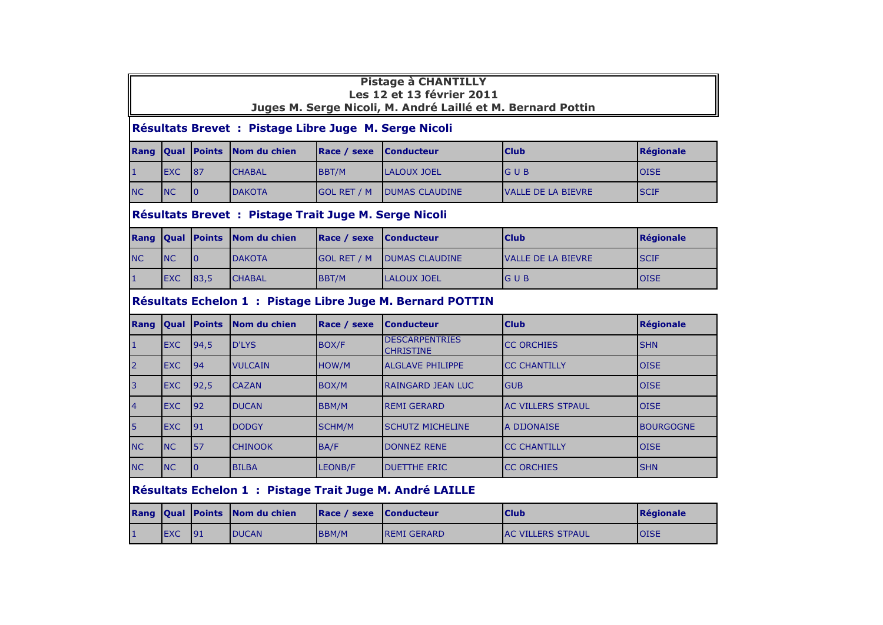|                                                       | <b>Pistage à CHANTILLY</b><br>Les 12 et 13 février 2011<br>Juges M. Serge Nicoli, M. André Laillé et M. Bernard Pottin |                |                |                    |                                                            |                           |                  |  |  |  |  |
|-------------------------------------------------------|------------------------------------------------------------------------------------------------------------------------|----------------|----------------|--------------------|------------------------------------------------------------|---------------------------|------------------|--|--|--|--|
| Résultats Brevet : Pistage Libre Juge M. Serge Nicoli |                                                                                                                        |                |                |                    |                                                            |                           |                  |  |  |  |  |
| <b>Rang</b>                                           | Qual                                                                                                                   | <b>Points</b>  | Nom du chien   | Race / sexe        | <b>Conducteur</b>                                          | <b>Club</b>               | <b>Régionale</b> |  |  |  |  |
| $\mathbf{1}$                                          | <b>EXC</b>                                                                                                             | 87             | <b>CHABAL</b>  | <b>BBT/M</b>       | <b>LALOUX JOEL</b>                                         | <b>GUB</b>                | <b>OISE</b>      |  |  |  |  |
| <b>NC</b>                                             | <b>NC</b>                                                                                                              | $\overline{0}$ | DAKOTA         | <b>GOL RET / M</b> | <b>DUMAS CLAUDINE</b>                                      | <b>VALLE DE LA BIEVRE</b> | <b>SCIF</b>      |  |  |  |  |
|                                                       | Résultats Brevet : Pistage Trait Juge M. Serge Nicoli                                                                  |                |                |                    |                                                            |                           |                  |  |  |  |  |
| Rang                                                  | Qual                                                                                                                   | Points         | Nom du chien   | Race / sexe        | <b>Conducteur</b>                                          | <b>Club</b>               | <b>Régionale</b> |  |  |  |  |
| <b>NC</b>                                             | <b>NC</b>                                                                                                              | $\overline{0}$ | <b>DAKOTA</b>  | <b>GOL RET / M</b> | <b>DUMAS CLAUDINE</b>                                      | <b>VALLE DE LA BIEVRE</b> | <b>SCIF</b>      |  |  |  |  |
| $\mathbf{1}$                                          | 83,5<br><b>GUB</b><br><b>OISE</b><br><b>EXC</b><br>BBT/M<br><b>CHABAL</b><br><b>LALOUX JOEL</b>                        |                |                |                    |                                                            |                           |                  |  |  |  |  |
|                                                       |                                                                                                                        |                |                |                    | Résultats Echelon 1 : Pistage Libre Juge M. Bernard POTTIN |                           |                  |  |  |  |  |
| <b>Rang</b>                                           | Qual                                                                                                                   | Points         | Nom du chien   | Race / sexe        | <b>Conducteur</b>                                          | <b>Club</b>               | <b>Régionale</b> |  |  |  |  |
| $\overline{1}$                                        | <b>EXC</b>                                                                                                             | 94,5           | <b>D'LYS</b>   | BOX/F              | <b>DESCARPENTRIES</b><br><b>CHRISTINE</b>                  | <b>CC ORCHIES</b>         | <b>SHN</b>       |  |  |  |  |
| $\overline{2}$                                        | <b>EXC</b>                                                                                                             | 94             | <b>VULCAIN</b> | HOW/M              | <b>ALGLAVE PHILIPPE</b>                                    | <b>CC CHANTILLY</b>       | <b>OISE</b>      |  |  |  |  |
| $\overline{3}$                                        | <b>EXC</b>                                                                                                             | 92,5           | <b>CAZAN</b>   | BOX/M              | <b>RAINGARD JEAN LUC</b>                                   | <b>GUB</b>                | <b>OISE</b>      |  |  |  |  |
| $\overline{4}$                                        | <b>EXC</b>                                                                                                             | 92             | <b>DUCAN</b>   | <b>BBM/M</b>       | <b>REMI GERARD</b>                                         | <b>AC VILLERS STPAUL</b>  | <b>OISE</b>      |  |  |  |  |
| 5                                                     | <b>EXC</b>                                                                                                             | 91             | <b>DODGY</b>   | <b>SCHM/M</b>      | <b>SCHUTZ MICHELINE</b>                                    | A DIJONAISE               | <b>BOURGOGNE</b> |  |  |  |  |
| <b>NC</b>                                             | N <sub>C</sub>                                                                                                         | 57             | <b>CHINOOK</b> | BA/F               | <b>DONNEZ RENE</b>                                         | <b>CC CHANTILLY</b>       | <b>OISE</b>      |  |  |  |  |
| <b>NC</b>                                             | <b>NC</b>                                                                                                              | $\overline{0}$ | <b>BILBA</b>   | LEONB/F            | <b>DUETTHE ERIC</b>                                        | <b>CC ORCHIES</b>         | <b>SHN</b>       |  |  |  |  |
|                                                       |                                                                                                                        |                |                |                    | Résultats Echelon 1 : Pistage Trait Juge M. André LAILLE   |                           |                  |  |  |  |  |

|            |    | Rang   Qual   Points   Nom du chien | Race / sexe Conducteur |                     | <b>Club</b>              | Régionale   |
|------------|----|-------------------------------------|------------------------|---------------------|--------------------------|-------------|
| <b>EXC</b> | 91 | <b>DUCAN</b>                        | <b>BBM/M</b>           | <b>IREMI GERARD</b> | <b>AC VILLERS STPAUL</b> | <b>OISE</b> |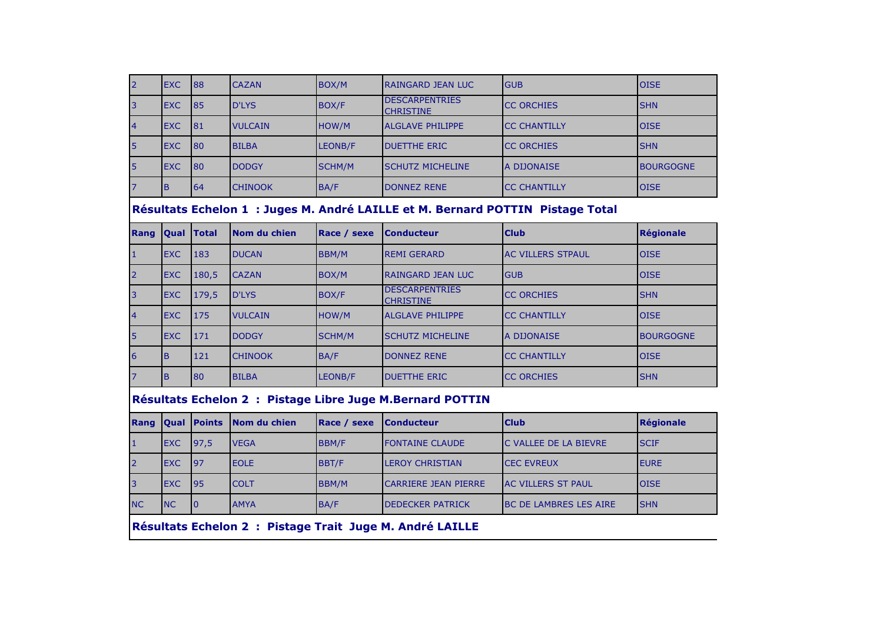| $\overline{2}$ | <b>EXC</b> | 88 | <b>CAZAN</b>    | BOX/M          | <b>RAINGARD JEAN LUC</b>                  | <b>GUB</b>           | <b>OISE</b>      |
|----------------|------------|----|-----------------|----------------|-------------------------------------------|----------------------|------------------|
| 3              | <b>EXC</b> | 85 | <b>D'LYS</b>    | BOX/F          | <b>DESCARPENTRIES</b><br><b>CHRISTINE</b> | <b>CC ORCHIES</b>    | <b>SHN</b>       |
| $\overline{4}$ | <b>EXC</b> | 81 | <b>IVULCAIN</b> | HOW/M          | <b>ALGLAVE PHILIPPE</b>                   | <b>ICC CHANTILLY</b> | <b>OISE</b>      |
| 5              | <b>EXC</b> | 80 | <b>BILBA</b>    | <b>LEONB/F</b> | <b>DUETTHE ERIC</b>                       | <b>CC ORCHIES</b>    | <b>SHN</b>       |
| 5              | <b>EXC</b> | 80 | <b>IDODGY</b>   | SCHM/M         | <b>SCHUTZ MICHELINE</b>                   | A DIJONAISE          | <b>BOURGOGNE</b> |
| $\overline{7}$ | B          | 64 | <b>ICHINOOK</b> | <b>BA/F</b>    | DONNEZ RENE                               | <b>CC CHANTILLY</b>  | <b>OISE</b>      |

### **Résultats Echelon 1 : Juges M. André LAILLE et M. Bernard POTTIN Pistage Total**

| <b>Rang</b>    | <b>Oual</b> | <b>Total</b> | <b>Nom du chien</b> | <b>Race / sexe</b> | <b>Conducteur</b>                         | <b>Club</b>              | <b>Régionale</b> |
|----------------|-------------|--------------|---------------------|--------------------|-------------------------------------------|--------------------------|------------------|
| 1              | <b>EXC</b>  | 183          | <b>DUCAN</b>        | <b>BBM/M</b>       | <b>REMI GERARD</b>                        | <b>AC VILLERS STPAUL</b> | <b>OISE</b>      |
| $\overline{2}$ | <b>EXC</b>  | 180,5        | <b>ICAZAN</b>       | BOX/M              | <b>RAINGARD JEAN LUC</b>                  | <b>GUB</b>               | <b>OISE</b>      |
| $\overline{3}$ | <b>EXC</b>  | L79,5        | <b>D'LYS</b>        | BOX/F              | <b>DESCARPENTRIES</b><br><b>CHRISTINE</b> | <b>CC ORCHIES</b>        | <b>ISHN</b>      |
| $\overline{4}$ | <b>EXC</b>  | 175          | <b>VULCAIN</b>      | HOW/M              | <b>ALGLAVE PHILIPPE</b>                   | <b>CC CHANTILLY</b>      | <b>OISE</b>      |
| 5              | <b>EXC</b>  | 171          | <b>DODGY</b>        | SCHM/M             | <b>SCHUTZ MICHELINE</b>                   | A DIJONAISE              | <b>BOURGOGNE</b> |
| 6              | B           | 1121         | <b>CHINOOK</b>      | <b>BA/F</b>        | <b>DONNEZ RENE</b>                        | <b>CC CHANTILLY</b>      | <b>OISE</b>      |
| 7              | B           | 80           | <b>BILBA</b>        | <b>LEONB/F</b>     | <b>DUETTHE ERIC</b>                       | <b>CC ORCHIES</b>        | <b>ISHN</b>      |

# **Résultats Echelon 2 : Pistage Libre Juge M.Bernard POTTIN**

| <b>Rang</b>    | <b>Oual</b> |      | <b>Points Nom du chien</b> | Race / sexe  | <b>Conducteur</b>           | <b>Club</b>                   | <b>Régionale</b> |
|----------------|-------------|------|----------------------------|--------------|-----------------------------|-------------------------------|------------------|
| $\overline{1}$ | <b>EXC</b>  | 97,5 | <b>IVEGA</b>               | <b>BBM/F</b> | <b>FONTAINE CLAUDE</b>      | <b>C VALLEE DE LA BIEVRE</b>  | <b>SCIF</b>      |
| 2              | <b>EXC</b>  | 97   | <b>IEOLE</b>               | <b>BBT/F</b> | <b>ILEROY CHRISTIAN</b>     | <b>CEC EVREUX</b>             | <b>EURE</b>      |
| <b>3</b>       | <b>EXC</b>  | 95   | <b>COLT</b>                | <b>BBM/M</b> | <b>CARRIERE JEAN PIERRE</b> | <b>IAC VILLERS ST PAUL</b>    | <b>OISE</b>      |
| <b>NC</b>      | NC          | 10   | <b>AMYA</b>                | <b>BA/F</b>  | <b>IDEDECKER PATRICK</b>    | <b>BC DE LAMBRES LES AIRE</b> | <b>SHN</b>       |

**Résultats Echelon 2 : Pistage Trait Juge M. André LAILLE**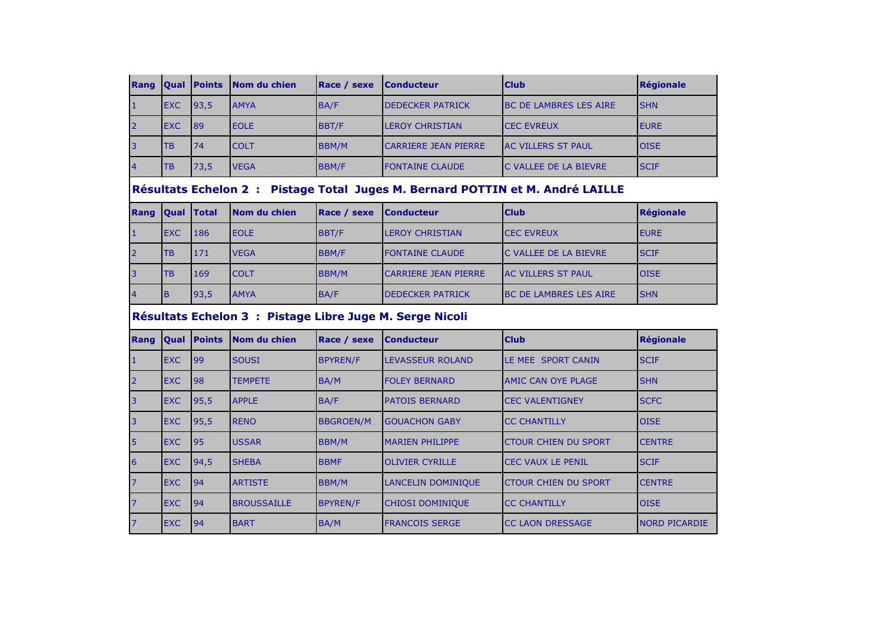| Rang           | <b>Oual</b> | <b>Points</b> | <b>Nom du chien</b> | Race / sexe  | <b>Conducteur</b>           | <b>Club</b>                   | Régionale   |
|----------------|-------------|---------------|---------------------|--------------|-----------------------------|-------------------------------|-------------|
| 1              | <b>EXC</b>  | 93,5          | <b>AMYA</b>         | <b>BA/F</b>  | <b>IDEDECKER PATRICK</b>    | <b>BC DE LAMBRES LES AIRE</b> | <b>ISHN</b> |
| 2              | <b>EXC</b>  | 89            | <b>EOLE</b>         | BBT/F        | <b>LEROY CHRISTIAN</b>      | <b>ICEC EVREUX</b>            | <b>EURE</b> |
| 3              | <b>TB</b>   | 174           | <b>ICOLT</b>        | <b>BBM/M</b> | <b>CARRIERE JEAN PIERRE</b> | <b>AC VILLERS ST PAUL</b>     | <b>OISE</b> |
| $\overline{4}$ | <b>TB</b>   | 173,5         | <b>VEGA</b>         | <b>BBM/F</b> | <b>FONTAINE CLAUDE</b>      | <b>C VALLEE DE LA BIEVRE</b>  | <b>SCIF</b> |

### **Résultats Echelon 2 : Pistage Total Juges M. Bernard POTTIN et M. André LAILLE**

| Rang |            | <b>Oual Total</b> | Nom du chien | Race / sexe  | <b>Conducteur</b>           | <b>Club</b>                   | Régionale    |
|------|------------|-------------------|--------------|--------------|-----------------------------|-------------------------------|--------------|
|      | <b>EXC</b> | 186               | <b>IEOLE</b> | <b>BBT/F</b> | <b>LEROY CHRISTIAN</b>      | <b>ICEC EVREUX</b>            | <b>IEURE</b> |
|      | <b>TB</b>  | 171               | <b>VEGA</b>  | <b>BBM/F</b> | <b>FONTAINE CLAUDE</b>      | <b>C VALLEE DE LA BIEVRE</b>  | <b>ISCIF</b> |
| 3    | <b>TB</b>  | 169               | <b>COLT</b>  | <b>BBM/M</b> | <b>CARRIERE JEAN PIERRE</b> | <b>AC VILLERS ST PAUL</b>     | <b>OISE</b>  |
| 4    | ١B         | 93,5              | <b>AMYA</b>  | <b>BA/F</b>  | <b>DEDECKER PATRICK</b>     | <b>BC DE LAMBRES LES AIRE</b> | <b>ISHN</b>  |

# **Résultats Echelon 3 : Pistage Libre Juge M. Serge Nicoli**

| Rang   Qual |            | <b>Points</b> | <b>Nom du chien</b> | Race / sexe      | <b>Conducteur</b>       | <b>Club</b>                 | Régionale            |
|-------------|------------|---------------|---------------------|------------------|-------------------------|-----------------------------|----------------------|
|             | <b>EXC</b> | <b>99</b>     | <b>SOUSI</b>        | <b>BPYREN/F</b>  | <b>LEVASSEUR ROLAND</b> | LE MEE SPORT CANIN          | <b>SCIF</b>          |
|             | <b>EXC</b> | 98            | <b>TEMPETE</b>      | BA/M             | <b>FOLEY BERNARD</b>    | AMIC CAN OYE PLAGE          | <b>SHN</b>           |
|             | <b>EXC</b> | 95,5          | <b>APPLE</b>        | BA/F             | <b>PATOIS BERNARD</b>   | <b>CEC VALENTIGNEY</b>      | <b>SCFC</b>          |
|             | <b>EXC</b> | 95,5          | <b>RENO</b>         | <b>BBGROEN/M</b> | <b>GOUACHON GABY</b>    | <b>CC CHANTILLY</b>         | <b>OISE</b>          |
|             | <b>EXC</b> | 95            | <b>USSAR</b>        | <b>BBM/M</b>     | <b>MARIEN PHILIPPE</b>  | <b>CTOUR CHIEN DU SPORT</b> | <b>CENTRE</b>        |
| -6          | <b>EXC</b> | 94,5          | <b>SHEBA</b>        | <b>BBMF</b>      | <b>OLIVIER CYRILLE</b>  | <b>CEC VAUX LE PENIL</b>    | <b>SCIF</b>          |
|             | <b>EXC</b> | 94            | <b>ARTISTE</b>      | BBM/M            | LANCELIN DOMINIQUE      | <b>CTOUR CHIEN DU SPORT</b> | <b>CENTRE</b>        |
|             | <b>EXC</b> | 94            | <b>BROUSSAILLE</b>  | <b>BPYREN/F</b>  | <b>CHIOSI DOMINIQUE</b> | <b>CC CHANTILLY</b>         | <b>OISE</b>          |
|             | <b>EXC</b> | 94            | <b>BART</b>         | BA/M             | <b>FRANCOIS SERGE</b>   | <b>CC LAON DRESSAGE</b>     | <b>NORD PICARDIE</b> |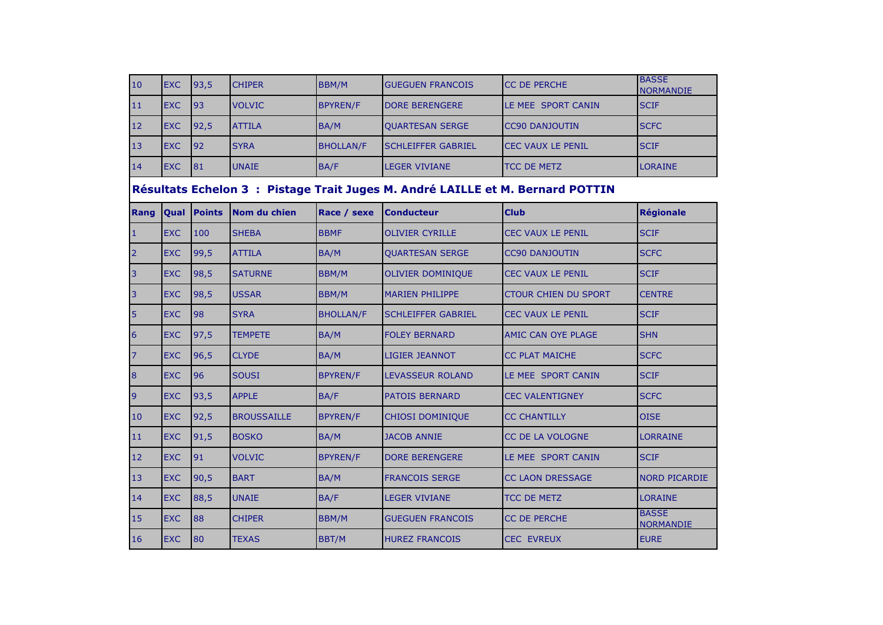| 10 | <b>EXC</b> | 93,5 | <b>CHIPER</b> | <b>BBM/M</b>     | <b>GUEGUEN FRANCOIS</b>    | <b>ICC DE PERCHE</b>       | <b>BASSE</b><br><b>NORMANDIE</b> |
|----|------------|------|---------------|------------------|----------------------------|----------------------------|----------------------------------|
| 11 | EXC        | 93   | <b>VOLVIC</b> | <b>BPYREN/F</b>  | <b>DORE BERENGERE</b>      | <b>ILE MEE SPORT CANIN</b> | <b>ISCIF</b>                     |
| 12 | <b>EXC</b> | 92,5 | <b>ATTILA</b> | BA/M             | <b>QUARTESAN SERGE</b>     | <b>ICC90 DANJOUTIN</b>     | <b>SCFC</b>                      |
| 13 | <b>EXC</b> | 92   | <b>SYRA</b>   | <b>BHOLLAN/F</b> | <b>ISCHLEIFFER GABRIEL</b> | <b>ICEC VAUX LE PENIL</b>  | <b>ISCIF</b>                     |
| 14 | <b>EXC</b> | 81   | <b>UNAIE</b>  | <b>BA/F</b>      | <b>LEGER VIVIANE</b>       | <b>ITCC DE METZ</b>        | <b>LORAINE</b>                   |

## **Résultats Echelon 3 : Pistage Trait Juges M. André LAILLE et M. Bernard POTTIN**

| Rang            | <b>Qual</b> | <b>Points</b> | Nom du chien       | Race / sexe      | <b>Conducteur</b>         | <b>Club</b>                 | <b>Régionale</b>                 |
|-----------------|-------------|---------------|--------------------|------------------|---------------------------|-----------------------------|----------------------------------|
| $\mathbf{1}$    | <b>EXC</b>  | 100           | <b>SHEBA</b>       | <b>BBMF</b>      | <b>OLIVIER CYRILLE</b>    | <b>CEC VAUX LE PENIL</b>    | <b>SCIF</b>                      |
| $\overline{2}$  | <b>EXC</b>  | 99,5          | <b>ATTILA</b>      | BA/M             | <b>QUARTESAN SERGE</b>    | <b>CC90 DANJOUTIN</b>       | <b>SCFC</b>                      |
| $\overline{3}$  | <b>EXC</b>  | 98,5          | <b>SATURNE</b>     | <b>BBM/M</b>     | <b>OLIVIER DOMINIQUE</b>  | <b>CEC VAUX LE PENIL</b>    | <b>SCIF</b>                      |
| $\overline{3}$  | <b>EXC</b>  | 98,5          | <b>USSAR</b>       | <b>BBM/M</b>     | <b>MARIEN PHILIPPE</b>    | <b>CTOUR CHIEN DU SPORT</b> | <b>CENTRE</b>                    |
| 5               | <b>EXC</b>  | 98            | <b>SYRA</b>        | <b>BHOLLAN/F</b> | <b>SCHLEIFFER GABRIEL</b> | <b>CEC VAUX LE PENIL</b>    | <b>SCIF</b>                      |
| $6\overline{6}$ | <b>EXC</b>  | 97,5          | <b>TEMPETE</b>     | BA/M             | <b>FOLEY BERNARD</b>      | AMIC CAN OYE PLAGE          | <b>SHN</b>                       |
| $\overline{7}$  | <b>EXC</b>  | 96,5          | <b>CLYDE</b>       | BA/M             | <b>LIGIER JEANNOT</b>     | <b>CC PLAT MAICHE</b>       | <b>SCFC</b>                      |
| $\overline{8}$  | <b>EXC</b>  | 96            | <b>SOUSI</b>       | <b>BPYREN/F</b>  | <b>LEVASSEUR ROLAND</b>   | LE MEE SPORT CANIN          | <b>SCIF</b>                      |
| 9               | <b>EXC</b>  | 93,5          | <b>APPLE</b>       | BA/F             | <b>PATOIS BERNARD</b>     | <b>CEC VALENTIGNEY</b>      | <b>SCFC</b>                      |
| 10              | <b>EXC</b>  | 92,5          | <b>BROUSSAILLE</b> | <b>BPYREN/F</b>  | <b>CHIOSI DOMINIQUE</b>   | <b>CC CHANTILLY</b>         | <b>OISE</b>                      |
| 11              | <b>EXC</b>  | 91,5          | <b>BOSKO</b>       | BA/M             | <b>JACOB ANNIE</b>        | <b>CC DE LA VOLOGNE</b>     | <b>LORRAINE</b>                  |
| 12              | <b>EXC</b>  | 91            | <b>VOLVIC</b>      | <b>BPYREN/F</b>  | <b>DORE BERENGERE</b>     | LE MEE SPORT CANIN          | <b>SCIF</b>                      |
| 13              | <b>EXC</b>  | 90,5          | <b>BART</b>        | BA/M             | <b>FRANCOIS SERGE</b>     | <b>CC LAON DRESSAGE</b>     | <b>NORD PICARDIE</b>             |
| 14              | <b>EXC</b>  | 88,5          | <b>UNAIE</b>       | BA/F             | <b>LEGER VIVIANE</b>      | <b>TCC DE METZ</b>          | <b>LORAINE</b>                   |
| 15              | <b>EXC</b>  | 88            | <b>CHIPER</b>      | <b>BBM/M</b>     | <b>GUEGUEN FRANCOIS</b>   | <b>CC DE PERCHE</b>         | <b>BASSE</b><br><b>NORMANDIE</b> |
| 16              | <b>EXC</b>  | 80            | <b>TEXAS</b>       | <b>BBT/M</b>     | <b>HUREZ FRANCOIS</b>     | <b>CEC EVREUX</b>           | <b>EURE</b>                      |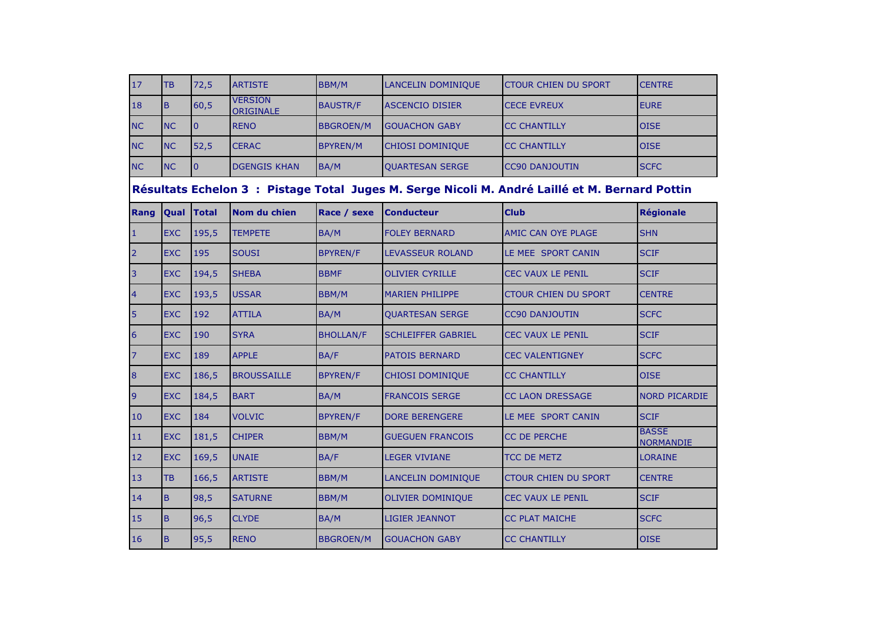| 17        | ТB        | 72,5            | <b>ARTISTE</b>                      | <b>BBM/M</b>     | LANCELIN DOMINIQUE      | <b>ICTOUR CHIEN DU SPORT</b> | <b>CENTRE</b> |
|-----------|-----------|-----------------|-------------------------------------|------------------|-------------------------|------------------------------|---------------|
| 18        | <b>B</b>  | 60,5            | <b>IVERSION</b><br><b>ORIGINALE</b> | <b>BAUSTR/F</b>  | <b>ASCENCIO DISIER</b>  | <b>ICECE EVREUX</b>          | <b>EURE</b>   |
| <b>NC</b> | <b>NC</b> | $\overline{10}$ | <b>IRENO</b>                        | <b>BBGROEN/M</b> | <b>GOUACHON GABY</b>    | <b>ICC CHANTILLY</b>         | <b>OISE</b>   |
| <b>NC</b> | <b>NC</b> | 152.5           | <b>ICERAC</b>                       | <b>BPYREN/M</b>  | <b>CHIOSI DOMINIQUE</b> | <b>ICC CHANTILLY</b>         | <b>OISE</b>   |
| <b>NC</b> | <b>NC</b> | IО              | <b>DGENGIS KHAN</b>                 | <b>BA/M</b>      | <b>QUARTESAN SERGE</b>  | <b>ICC90 DANJOUTIN</b>       | <b>SCFC</b>   |

**Résultats Echelon 3 : Pistage Total Juges M. Serge Nicoli M. André Laillé et M. Bernard Pottin**

| Rang           | <b>Qual</b> | <b>Total</b> | Nom du chien       | Race / sexe      | <b>Conducteur</b>         | <b>Club</b>                 | <b>Régionale</b>                 |
|----------------|-------------|--------------|--------------------|------------------|---------------------------|-----------------------------|----------------------------------|
| $\vert$ 1      | <b>EXC</b>  | 195,5        | <b>TEMPETE</b>     | BA/M             | <b>FOLEY BERNARD</b>      | AMIC CAN OYE PLAGE          | <b>SHN</b>                       |
| $\overline{2}$ | <b>EXC</b>  | 195          | <b>SOUSI</b>       | <b>BPYREN/F</b>  | <b>LEVASSEUR ROLAND</b>   | LE MEE SPORT CANIN          | <b>SCIF</b>                      |
| 3              | <b>EXC</b>  | 194,5        | <b>SHEBA</b>       | <b>BBMF</b>      | <b>OLIVIER CYRILLE</b>    | <b>CEC VAUX LE PENIL</b>    | <b>SCIF</b>                      |
| $\overline{4}$ | <b>EXC</b>  | 193,5        | <b>USSAR</b>       | <b>BBM/M</b>     | <b>MARIEN PHILIPPE</b>    | <b>CTOUR CHIEN DU SPORT</b> | <b>CENTRE</b>                    |
| 5              | <b>EXC</b>  | 192          | <b>ATTILA</b>      | <b>BA/M</b>      | <b>OUARTESAN SERGE</b>    | <b>CC90 DANJOUTIN</b>       | <b>SCFC</b>                      |
| 6              | <b>EXC</b>  | 190          | <b>SYRA</b>        | <b>BHOLLAN/F</b> | <b>SCHLEIFFER GABRIEL</b> | <b>CEC VAUX LE PENIL</b>    | <b>SCIF</b>                      |
| $\overline{7}$ | <b>EXC</b>  | 189          | <b>APPLE</b>       | BA/F             | <b>PATOIS BERNARD</b>     | <b>CEC VALENTIGNEY</b>      | <b>SCFC</b>                      |
| 8              | <b>EXC</b>  | 186,5        | <b>BROUSSAILLE</b> | <b>BPYREN/F</b>  | <b>CHIOSI DOMINIQUE</b>   | <b>CC CHANTILLY</b>         | <b>OISE</b>                      |
| 9              | <b>EXC</b>  | 184,5        | <b>BART</b>        | BA/M             | <b>FRANCOIS SERGE</b>     | <b>CC LAON DRESSAGE</b>     | <b>NORD PICARDIE</b>             |
| 10             | <b>EXC</b>  | 184          | <b>VOLVIC</b>      | <b>BPYREN/F</b>  | <b>DORE BERENGERE</b>     | LE MEE SPORT CANIN          | <b>SCIF</b>                      |
| 11             | <b>EXC</b>  | 181,5        | <b>CHIPER</b>      | BBM/M            | <b>GUEGUEN FRANCOIS</b>   | <b>CC DE PERCHE</b>         | <b>BASSE</b><br><b>NORMANDIE</b> |
| 12             | <b>EXC</b>  | 169,5        | <b>UNAIE</b>       | BA/F             | <b>LEGER VIVIANE</b>      | <b>TCC DE METZ</b>          | <b>LORAINE</b>                   |
| 13             | <b>TB</b>   | 166,5        | <b>ARTISTE</b>     | <b>BBM/M</b>     | LANCELIN DOMINIQUE        | <b>CTOUR CHIEN DU SPORT</b> | <b>CENTRE</b>                    |
| 14             | B.          | 98,5         | <b>SATURNE</b>     | <b>BBM/M</b>     | <b>OLIVIER DOMINIQUE</b>  | <b>CEC VAUX LE PENIL</b>    | <b>SCIF</b>                      |
| 15             | B           | 96,5         | <b>CLYDE</b>       | BA/M             | <b>LIGIER JEANNOT</b>     | <b>CC PLAT MAICHE</b>       | <b>SCFC</b>                      |
| 16             | B.          | 95,5         | <b>RENO</b>        | <b>BBGROEN/M</b> | <b>GOUACHON GABY</b>      | <b>CC CHANTILLY</b>         | <b>OISE</b>                      |